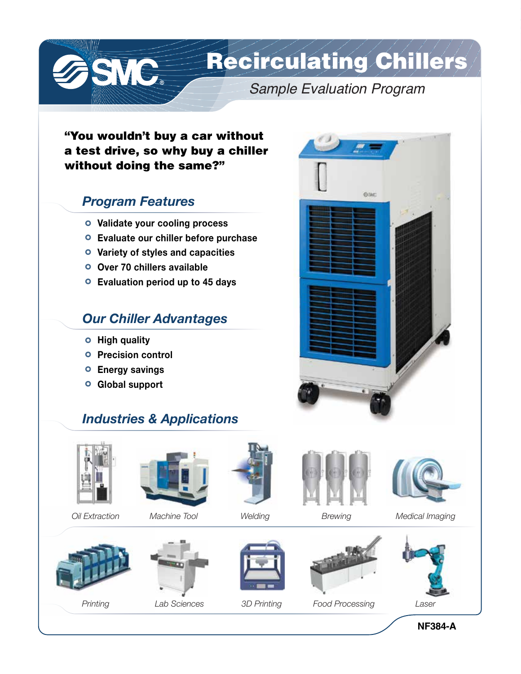Recirculating Chillers

*Sample Evaluation Program*

Cutam:

"You wouldn't buy a car without a test drive, so why buy a chiller without doing the same?"

### *Program Features*

SSNC.

- **Validate your cooling process**
- **Evaluate our chiller before purchase**
- **Variety of styles and capacities**
- **Over 70 chillers available**
- **Evaluation period up to 45 days**

### *Our Chiller Advantages*

- **High quality**
- **Precision control**
- **Energy savings**
- **Global support**

# *Industries & Applications*



*Oil Extraction Welding Machine Tool*





*Printing*



*Lab Sciences*







*Brewing Medical Imaging*











**NF384-A**